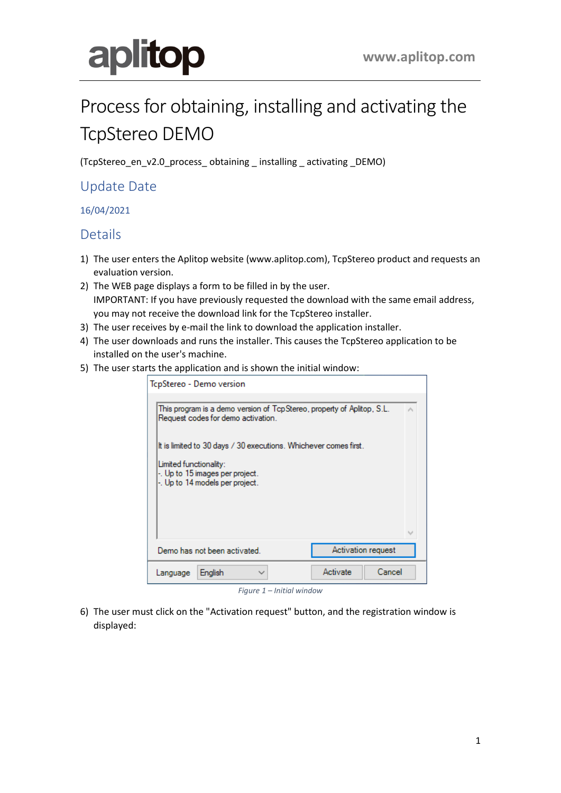# aplitop

## Process for obtaining, installing and activating the TcpStereo DEMO

(TcpStereo\_en\_v2.0\_process\_ obtaining \_ installing \_ activating \_DEMO)

### Update Date

16/04/2021

#### Details

- 1) The user enters the Aplitop website (www.aplitop.com), TcpStereo product and requests an evaluation version.
- 2) The WEB page displays a form to be filled in by the user. IMPORTANT: If you have previously requested the download with the same email address, you may not receive the download link for the TcpStereo installer.
- 3) The user receives by e-mail the link to download the application installer.
- 4) The user downloads and runs the installer. This causes the TcpStereo application to be installed on the user's machine.
- 5) The user starts the application and is shown the initial window:

| TcpStereo - Demo version                                                                                     |  |  |  |  |
|--------------------------------------------------------------------------------------------------------------|--|--|--|--|
| This program is a demo version of TcpStereo, property of Aplitop, S.L.<br>Request codes for demo activation. |  |  |  |  |
| It is limited to 30 days / 30 executions. Whichever comes first.                                             |  |  |  |  |
| Limited functionality:<br>-. Up to 15 images per project.<br>-. Up to 14 models per project.                 |  |  |  |  |
|                                                                                                              |  |  |  |  |
| Activation request<br>Demo has not been activated.                                                           |  |  |  |  |
| Cancel<br>Activate<br>English<br>Language                                                                    |  |  |  |  |

*Figure 1 – Initial window*

6) The user must click on the "Activation request" button, and the registration window is displayed: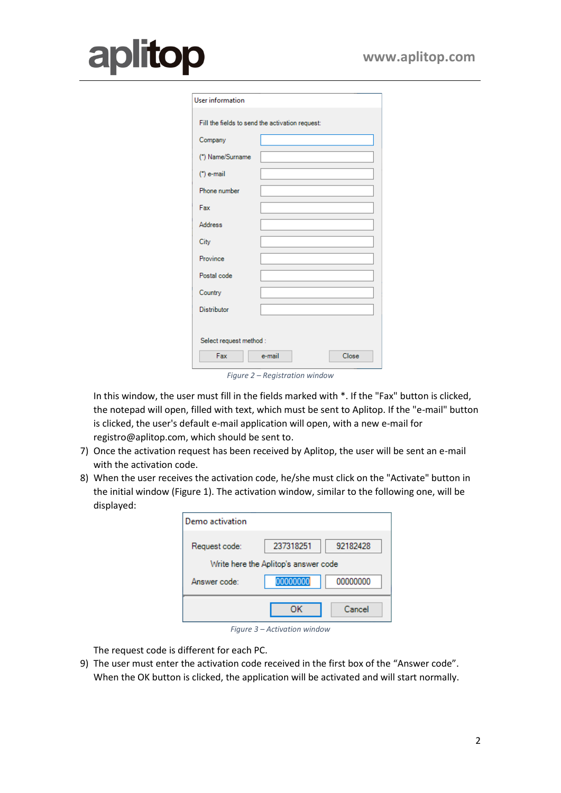## **odilc** ar

| User information        |                                                 |  |
|-------------------------|-------------------------------------------------|--|
|                         | Fill the fields to send the activation request: |  |
| Company                 |                                                 |  |
| (*) Name/Surname        |                                                 |  |
| $"$ ) e-mail            |                                                 |  |
| Phone number            |                                                 |  |
| Fax                     |                                                 |  |
| <b>Address</b>          |                                                 |  |
| City                    |                                                 |  |
| Province                |                                                 |  |
| Postal code             |                                                 |  |
| Country                 |                                                 |  |
| <b>Distributor</b>      |                                                 |  |
|                         |                                                 |  |
| Select request method : |                                                 |  |
| Fax                     | e-mail<br>Close                                 |  |

*Figure 2 – Registration window*

In this window, the user must fill in the fields marked with \*. If the "Fax" button is clicked, the notepad will open, filled with text, which must be sent to Aplitop. If the "e-mail" button is clicked, the user's default e-mail application will open, with a new e-mail for registro@aplitop.com, which should be sent to.

- 7) Once the activation request has been received by Aplitop, the user will be sent an e-mail with the activation code.
- 8) When the user receives the activation code, he/she must click on the "Activate" button in the initial window (Figure 1). The activation window, similar to the following one, will be displayed:

| Demo activation                      |           |          |  |  |
|--------------------------------------|-----------|----------|--|--|
| Request code:                        | 237318251 | 92182428 |  |  |
| Write here the Aplitop's answer code |           |          |  |  |
| Answer code:                         | 00000000  | 00000000 |  |  |
|                                      | ок        | Cancel   |  |  |

*Figure 3 – Activation window*

The request code is different for each PC.

9) The user must enter the activation code received in the first box of the "Answer code". When the OK button is clicked, the application will be activated and will start normally.